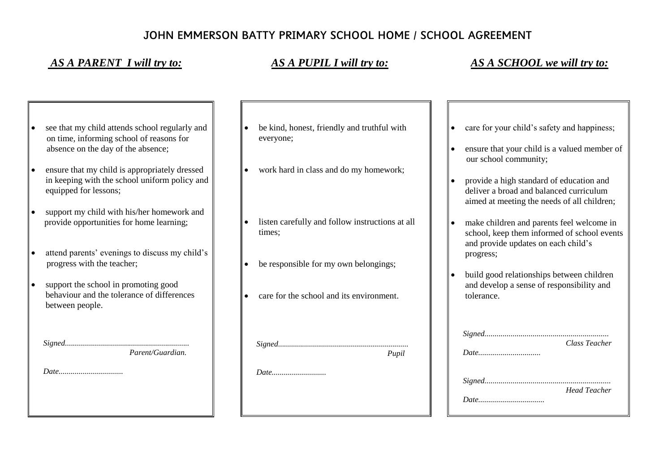## JOHN EMMERSON BATTY PRIMARY SCHOOL HOME / SCHOOL AGREEMENT

 *AS A PARENT I will try to: AS A PUPIL I will try to: AS A SCHOOL we will try to:*

- see that my child attends school regularly and on time, informing school of reasons for absence on the day of the absence;
- ensure that my child is appropriately dressed in keeping with the school uniform policy and equipped for lessons;
- support my child with his/her homework and provide opportunities for home learning;
- attend parents' evenings to discuss my child's progress with the teacher;
- support the school in promoting good behaviour and the tolerance of differences between people.

| Parent/Guardian. |
|------------------|

 *Date................................*

- be kind, honest, friendly and truthful with everyone;
- work hard in class and do my homework;
- listen carefully and follow instructions at all times;
- be responsible for my own belongings;
- care for the school and its environment.

 *Signed................................................................. Pupil Date...........................*

- care for your child's safety and happiness;
- ensure that your child is a valued member of our school community;
- provide a high standard of education and deliver a broad and balanced curriculum aimed at meeting the needs of all children;
- make children and parents feel welcome in school, keep them informed of school events and provide updates on each child's progress;
- $\bullet$  build good relationships between children and develop a sense of responsibility and tolerance.

| Class Teacher       |
|---------------------|
|                     |
|                     |
|                     |
|                     |
|                     |
| <b>Head Teacher</b> |